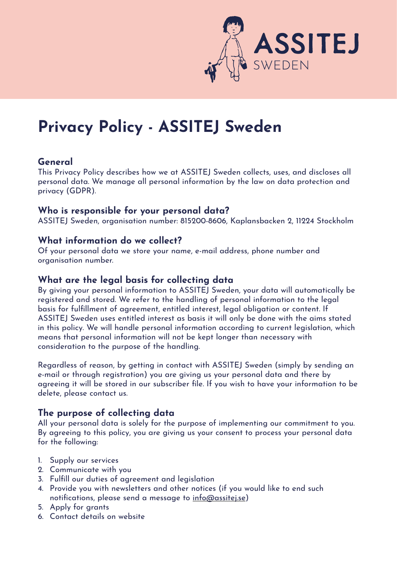

# **Privacy Policy - ASSITEJ Sweden**

## **General**

This Privacy Policy describes how we at ASSITEJ Sweden collects, uses, and discloses all personal data. We manage all personal information by the law on data protection and privacy (GDPR).

#### **Who is responsible for your personal data?**

ASSITEJ Sweden, organisation number: 815200-8606, Kaplansbacken 2, 11224 Stockholm

## **What information do we collect?**

Of your personal data we store your name, e-mail address, phone number and organisation number.

## **What are the legal basis for collecting data**

By giving your personal information to ASSITEJ Sweden, your data will automatically be registered and stored. We refer to the handling of personal information to the legal basis for fulfillment of agreement, entitled interest, legal obligation or content. If ASSITEJ Sweden uses entitled interest as basis it will only be done with the aims stated in this policy. We will handle personal information according to current legislation, which means that personal information will not be kept longer than necessary with consideration to the purpose of the handling.

Regardless of reason, by getting in contact with ASSITEJ Sweden (simply by sending an e-mail or through registration) you are giving us your personal data and there by agreeing it will be stored in our subscriber file. If you wish to have your information to be delete, please contact us.

# **The purpose of collecting data**

All your personal data is solely for the purpose of implementing our commitment to you. By agreeing to this policy, you are giving us your consent to process your personal data for the following:

- 1. Supply our services
- 2. Communicate with you
- 3. Fulfill our duties of agreement and legislation
- 4. Provide you with newsletters and other notices (if you would like to end such notifications, please send a message to [info@assitej.se](mailto:info@assitej.se))
- 5. Apply for grants
- 6. Contact details on website